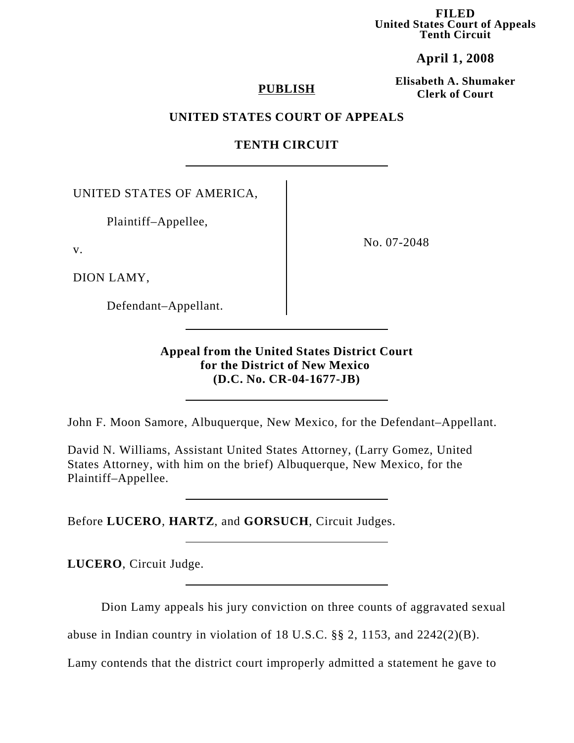**FILED United States Court of Appeals Tenth Circuit**

# **April 1, 2008**

**Elisabeth A. Shumaker Clerk of Court PUBLISH**

## **UNITED STATES COURT OF APPEALS**

## **TENTH CIRCUIT**

UNITED STATES OF AMERICA,

Plaintiff–Appellee,

v.

DION LAMY,

Defendant–Appellant.

No. 07-2048

**Appeal from the United States District Court for the District of New Mexico (D.C. No. CR-04-1677-JB)**

John F. Moon Samore, Albuquerque, New Mexico, for the Defendant–Appellant.

David N. Williams, Assistant United States Attorney, (Larry Gomez, United States Attorney, with him on the brief) Albuquerque, New Mexico, for the Plaintiff–Appellee.

Before **LUCERO**, **HARTZ**, and **GORSUCH**, Circuit Judges.

**LUCERO**, Circuit Judge.

Dion Lamy appeals his jury conviction on three counts of aggravated sexual

abuse in Indian country in violation of 18 U.S.C. §§ 2, 1153, and 2242(2)(B).

Lamy contends that the district court improperly admitted a statement he gave to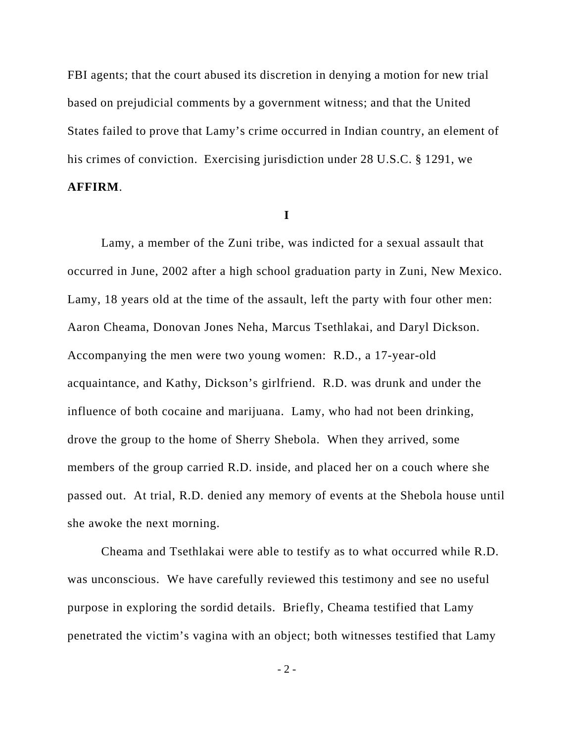FBI agents; that the court abused its discretion in denying a motion for new trial based on prejudicial comments by a government witness; and that the United States failed to prove that Lamy's crime occurred in Indian country, an element of his crimes of conviction. Exercising jurisdiction under 28 U.S.C. § 1291, we **AFFIRM**.

**I**

Lamy, a member of the Zuni tribe, was indicted for a sexual assault that occurred in June, 2002 after a high school graduation party in Zuni, New Mexico. Lamy, 18 years old at the time of the assault, left the party with four other men: Aaron Cheama, Donovan Jones Neha, Marcus Tsethlakai, and Daryl Dickson. Accompanying the men were two young women: R.D., a 17-year-old acquaintance, and Kathy, Dickson's girlfriend. R.D. was drunk and under the influence of both cocaine and marijuana. Lamy, who had not been drinking, drove the group to the home of Sherry Shebola. When they arrived, some members of the group carried R.D. inside, and placed her on a couch where she passed out. At trial, R.D. denied any memory of events at the Shebola house until she awoke the next morning.

Cheama and Tsethlakai were able to testify as to what occurred while R.D. was unconscious. We have carefully reviewed this testimony and see no useful purpose in exploring the sordid details. Briefly, Cheama testified that Lamy penetrated the victim's vagina with an object; both witnesses testified that Lamy

- 2 -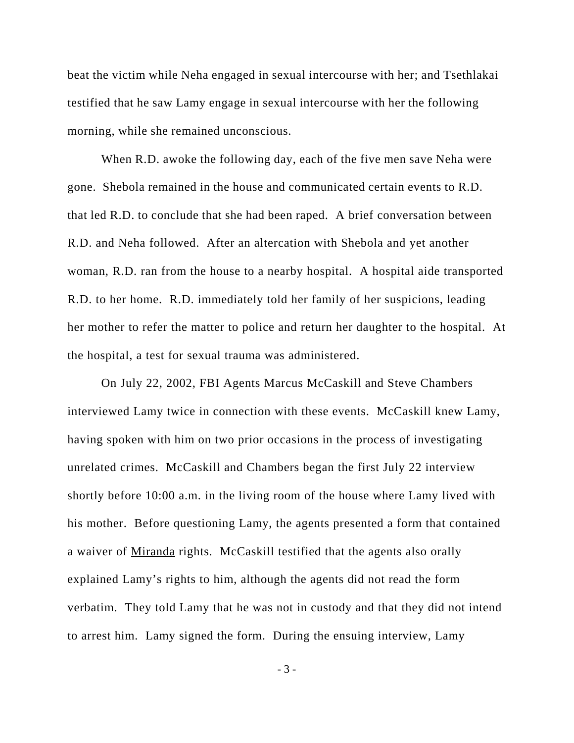beat the victim while Neha engaged in sexual intercourse with her; and Tsethlakai testified that he saw Lamy engage in sexual intercourse with her the following morning, while she remained unconscious.

When R.D. awoke the following day, each of the five men save Neha were gone. Shebola remained in the house and communicated certain events to R.D. that led R.D. to conclude that she had been raped. A brief conversation between R.D. and Neha followed. After an altercation with Shebola and yet another woman, R.D. ran from the house to a nearby hospital. A hospital aide transported R.D. to her home. R.D. immediately told her family of her suspicions, leading her mother to refer the matter to police and return her daughter to the hospital. At the hospital, a test for sexual trauma was administered.

On July 22, 2002, FBI Agents Marcus McCaskill and Steve Chambers interviewed Lamy twice in connection with these events. McCaskill knew Lamy, having spoken with him on two prior occasions in the process of investigating unrelated crimes. McCaskill and Chambers began the first July 22 interview shortly before 10:00 a.m. in the living room of the house where Lamy lived with his mother. Before questioning Lamy, the agents presented a form that contained a waiver of Miranda rights. McCaskill testified that the agents also orally explained Lamy's rights to him, although the agents did not read the form verbatim. They told Lamy that he was not in custody and that they did not intend to arrest him. Lamy signed the form. During the ensuing interview, Lamy

- 3 -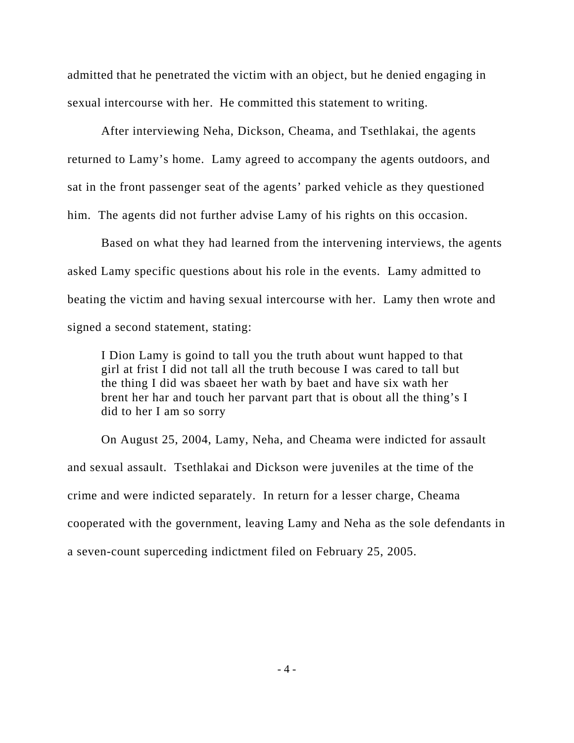admitted that he penetrated the victim with an object, but he denied engaging in sexual intercourse with her. He committed this statement to writing.

After interviewing Neha, Dickson, Cheama, and Tsethlakai, the agents returned to Lamy's home. Lamy agreed to accompany the agents outdoors, and sat in the front passenger seat of the agents' parked vehicle as they questioned him. The agents did not further advise Lamy of his rights on this occasion.

Based on what they had learned from the intervening interviews, the agents asked Lamy specific questions about his role in the events. Lamy admitted to beating the victim and having sexual intercourse with her. Lamy then wrote and signed a second statement, stating:

I Dion Lamy is goind to tall you the truth about wunt happed to that girl at frist I did not tall all the truth becouse I was cared to tall but the thing I did was sbaeet her wath by baet and have six wath her brent her har and touch her parvant part that is obout all the thing's I did to her I am so sorry

On August 25, 2004, Lamy, Neha, and Cheama were indicted for assault and sexual assault. Tsethlakai and Dickson were juveniles at the time of the crime and were indicted separately. In return for a lesser charge, Cheama cooperated with the government, leaving Lamy and Neha as the sole defendants in a seven-count superceding indictment filed on February 25, 2005.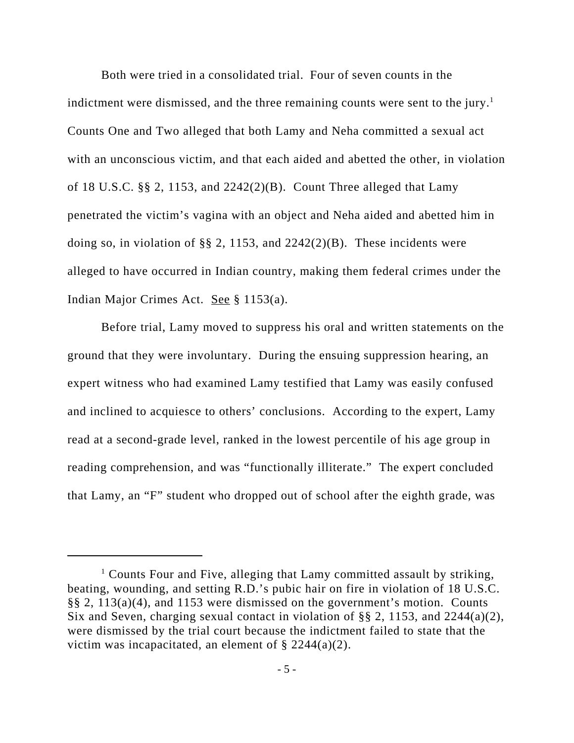Both were tried in a consolidated trial. Four of seven counts in the indictment were dismissed, and the three remaining counts were sent to the jury.<sup>1</sup> Counts One and Two alleged that both Lamy and Neha committed a sexual act with an unconscious victim, and that each aided and abetted the other, in violation of 18 U.S.C. §§ 2, 1153, and 2242(2)(B). Count Three alleged that Lamy penetrated the victim's vagina with an object and Neha aided and abetted him in doing so, in violation of §§ 2, 1153, and  $2242(2)(B)$ . These incidents were alleged to have occurred in Indian country, making them federal crimes under the Indian Major Crimes Act. See § 1153(a).

Before trial, Lamy moved to suppress his oral and written statements on the ground that they were involuntary. During the ensuing suppression hearing, an expert witness who had examined Lamy testified that Lamy was easily confused and inclined to acquiesce to others' conclusions. According to the expert, Lamy read at a second-grade level, ranked in the lowest percentile of his age group in reading comprehension, and was "functionally illiterate." The expert concluded that Lamy, an "F" student who dropped out of school after the eighth grade, was

<sup>&</sup>lt;sup>1</sup> Counts Four and Five, alleging that Lamy committed assault by striking, beating, wounding, and setting R.D.'s pubic hair on fire in violation of 18 U.S.C. §§ 2, 113(a)(4), and 1153 were dismissed on the government's motion. Counts Six and Seven, charging sexual contact in violation of §§ 2, 1153, and 2244(a)(2), were dismissed by the trial court because the indictment failed to state that the victim was incapacitated, an element of  $\S 2244(a)(2)$ .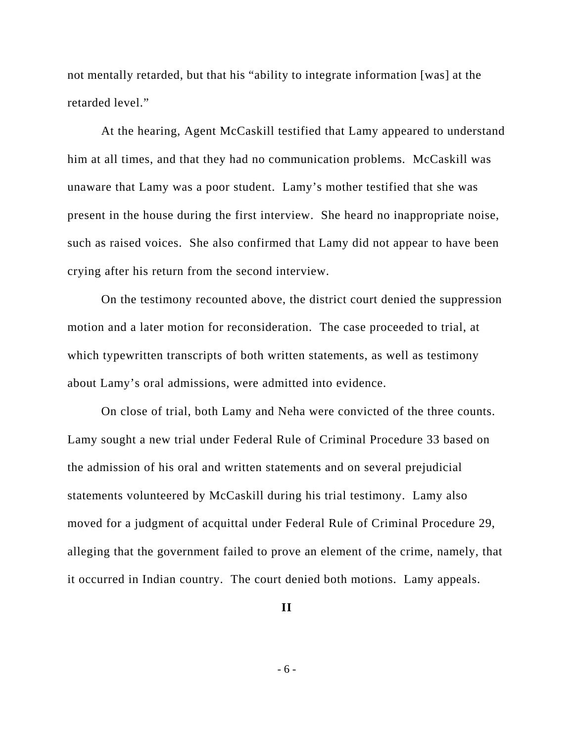not mentally retarded, but that his "ability to integrate information [was] at the retarded level."

At the hearing, Agent McCaskill testified that Lamy appeared to understand him at all times, and that they had no communication problems. McCaskill was unaware that Lamy was a poor student. Lamy's mother testified that she was present in the house during the first interview. She heard no inappropriate noise, such as raised voices. She also confirmed that Lamy did not appear to have been crying after his return from the second interview.

On the testimony recounted above, the district court denied the suppression motion and a later motion for reconsideration. The case proceeded to trial, at which typewritten transcripts of both written statements, as well as testimony about Lamy's oral admissions, were admitted into evidence.

On close of trial, both Lamy and Neha were convicted of the three counts. Lamy sought a new trial under Federal Rule of Criminal Procedure 33 based on the admission of his oral and written statements and on several prejudicial statements volunteered by McCaskill during his trial testimony. Lamy also moved for a judgment of acquittal under Federal Rule of Criminal Procedure 29, alleging that the government failed to prove an element of the crime, namely, that it occurred in Indian country. The court denied both motions. Lamy appeals.

**II**

- 6 -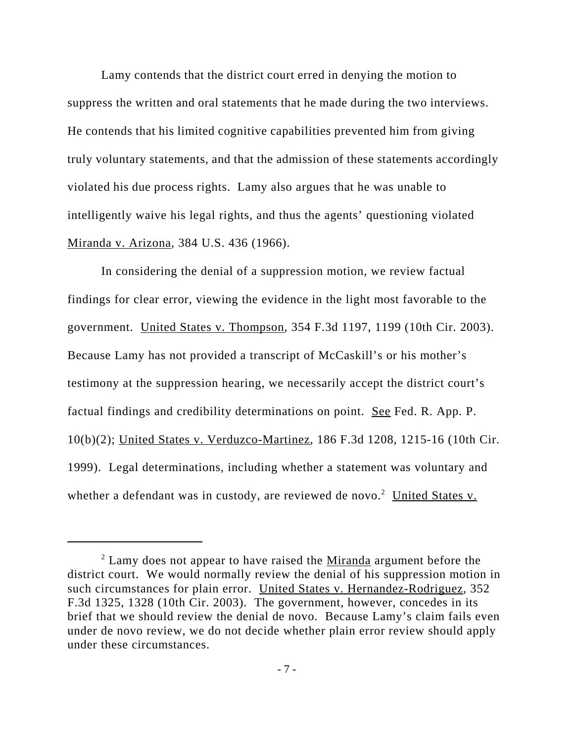Lamy contends that the district court erred in denying the motion to suppress the written and oral statements that he made during the two interviews. He contends that his limited cognitive capabilities prevented him from giving truly voluntary statements, and that the admission of these statements accordingly violated his due process rights. Lamy also argues that he was unable to intelligently waive his legal rights, and thus the agents' questioning violated Miranda v. Arizona, 384 U.S. 436 (1966).

In considering the denial of a suppression motion, we review factual findings for clear error, viewing the evidence in the light most favorable to the government. United States v. Thompson, 354 F.3d 1197, 1199 (10th Cir. 2003). Because Lamy has not provided a transcript of McCaskill's or his mother's testimony at the suppression hearing, we necessarily accept the district court's factual findings and credibility determinations on point. See Fed. R. App. P. 10(b)(2); United States v. Verduzco-Martinez, 186 F.3d 1208, 1215-16 (10th Cir. 1999). Legal determinations, including whether a statement was voluntary and whether a defendant was in custody, are reviewed de novo.<sup>2</sup> United States v.

 $2$  Lamy does not appear to have raised the Miranda argument before the district court. We would normally review the denial of his suppression motion in such circumstances for plain error. United States v. Hernandez-Rodriguez, 352 F.3d 1325, 1328 (10th Cir. 2003). The government, however, concedes in its brief that we should review the denial de novo. Because Lamy's claim fails even under de novo review, we do not decide whether plain error review should apply under these circumstances.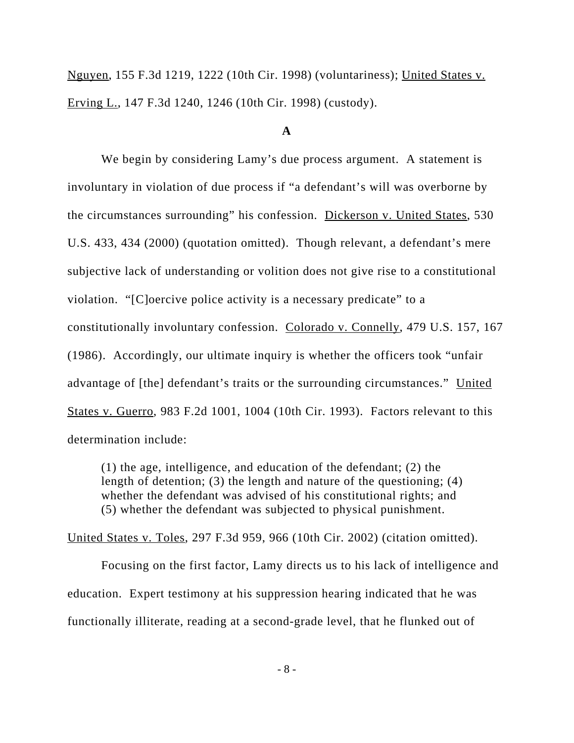Nguyen, 155 F.3d 1219, 1222 (10th Cir. 1998) (voluntariness); United States v. Erving L., 147 F.3d 1240, 1246 (10th Cir. 1998) (custody).

## **A**

We begin by considering Lamy's due process argument. A statement is involuntary in violation of due process if "a defendant's will was overborne by the circumstances surrounding" his confession. Dickerson v. United States, 530 U.S. 433, 434 (2000) (quotation omitted). Though relevant, a defendant's mere subjective lack of understanding or volition does not give rise to a constitutional violation. "[C]oercive police activity is a necessary predicate" to a constitutionally involuntary confession. Colorado v. Connelly, 479 U.S. 157, 167 (1986). Accordingly, our ultimate inquiry is whether the officers took "unfair advantage of [the] defendant's traits or the surrounding circumstances." United States v. Guerro, 983 F.2d 1001, 1004 (10th Cir. 1993). Factors relevant to this determination include:

(1) the age, intelligence, and education of the defendant; (2) the length of detention; (3) the length and nature of the questioning; (4) whether the defendant was advised of his constitutional rights; and (5) whether the defendant was subjected to physical punishment.

United States v. Toles, 297 F.3d 959, 966 (10th Cir. 2002) (citation omitted).

Focusing on the first factor, Lamy directs us to his lack of intelligence and education. Expert testimony at his suppression hearing indicated that he was functionally illiterate, reading at a second-grade level, that he flunked out of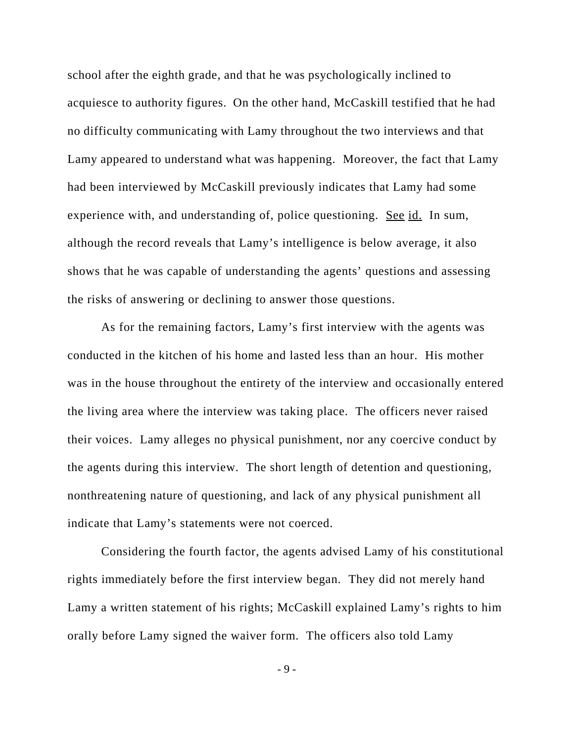school after the eighth grade, and that he was psychologically inclined to acquiesce to authority figures. On the other hand, McCaskill testified that he had no difficulty communicating with Lamy throughout the two interviews and that Lamy appeared to understand what was happening. Moreover, the fact that Lamy had been interviewed by McCaskill previously indicates that Lamy had some experience with, and understanding of, police questioning. See id. In sum, although the record reveals that Lamy's intelligence is below average, it also shows that he was capable of understanding the agents' questions and assessing the risks of answering or declining to answer those questions.

As for the remaining factors, Lamy's first interview with the agents was conducted in the kitchen of his home and lasted less than an hour. His mother was in the house throughout the entirety of the interview and occasionally entered the living area where the interview was taking place. The officers never raised their voices. Lamy alleges no physical punishment, nor any coercive conduct by the agents during this interview. The short length of detention and questioning, nonthreatening nature of questioning, and lack of any physical punishment all indicate that Lamy's statements were not coerced.

Considering the fourth factor, the agents advised Lamy of his constitutional rights immediately before the first interview began. They did not merely hand Lamy a written statement of his rights; McCaskill explained Lamy's rights to him orally before Lamy signed the waiver form. The officers also told Lamy

- 9 -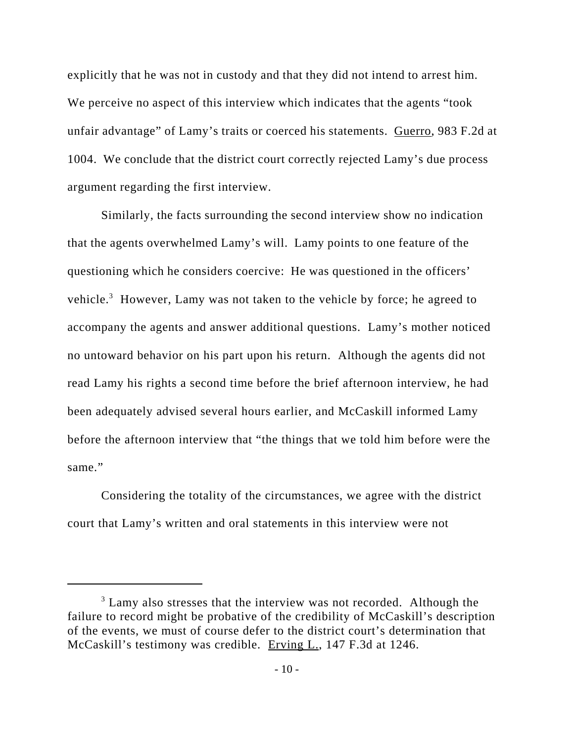explicitly that he was not in custody and that they did not intend to arrest him. We perceive no aspect of this interview which indicates that the agents "took unfair advantage" of Lamy's traits or coerced his statements. Guerro, 983 F.2d at 1004. We conclude that the district court correctly rejected Lamy's due process argument regarding the first interview.

Similarly, the facts surrounding the second interview show no indication that the agents overwhelmed Lamy's will. Lamy points to one feature of the questioning which he considers coercive: He was questioned in the officers' vehicle.<sup>3</sup> However, Lamy was not taken to the vehicle by force; he agreed to accompany the agents and answer additional questions. Lamy's mother noticed no untoward behavior on his part upon his return. Although the agents did not read Lamy his rights a second time before the brief afternoon interview, he had been adequately advised several hours earlier, and McCaskill informed Lamy before the afternoon interview that "the things that we told him before were the same."

Considering the totality of the circumstances, we agree with the district court that Lamy's written and oral statements in this interview were not

<sup>&</sup>lt;sup>3</sup> Lamy also stresses that the interview was not recorded. Although the failure to record might be probative of the credibility of McCaskill's description of the events, we must of course defer to the district court's determination that McCaskill's testimony was credible. Erving L., 147 F.3d at 1246.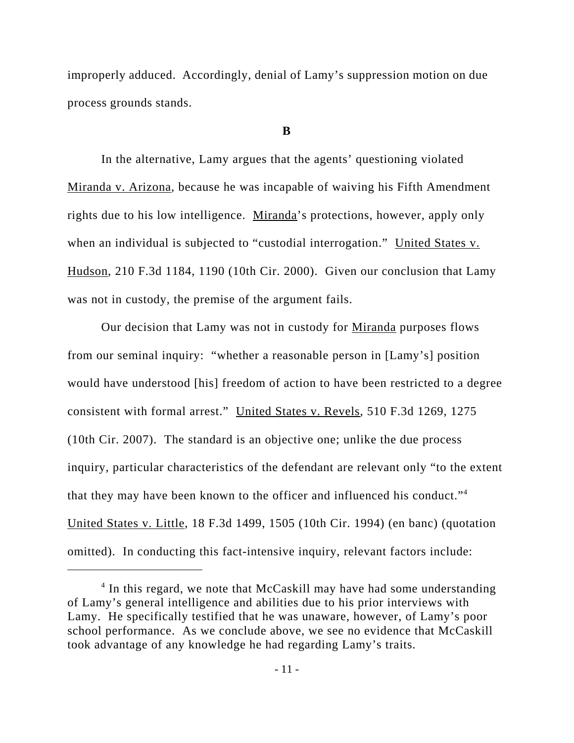improperly adduced. Accordingly, denial of Lamy's suppression motion on due process grounds stands.

#### **B**

In the alternative, Lamy argues that the agents' questioning violated Miranda v. Arizona, because he was incapable of waiving his Fifth Amendment rights due to his low intelligence. Miranda's protections, however, apply only when an individual is subjected to "custodial interrogation." United States v. Hudson, 210 F.3d 1184, 1190 (10th Cir. 2000). Given our conclusion that Lamy was not in custody, the premise of the argument fails.

Our decision that Lamy was not in custody for Miranda purposes flows from our seminal inquiry: "whether a reasonable person in [Lamy's] position would have understood [his] freedom of action to have been restricted to a degree consistent with formal arrest." United States v. Revels, 510 F.3d 1269, 1275 (10th Cir. 2007). The standard is an objective one; unlike the due process inquiry, particular characteristics of the defendant are relevant only "to the extent that they may have been known to the officer and influenced his conduct."4 United States v. Little, 18 F.3d 1499, 1505 (10th Cir. 1994) (en banc) (quotation omitted). In conducting this fact-intensive inquiry, relevant factors include:

<sup>&</sup>lt;sup>4</sup> In this regard, we note that McCaskill may have had some understanding of Lamy's general intelligence and abilities due to his prior interviews with Lamy. He specifically testified that he was unaware, however, of Lamy's poor school performance. As we conclude above, we see no evidence that McCaskill took advantage of any knowledge he had regarding Lamy's traits.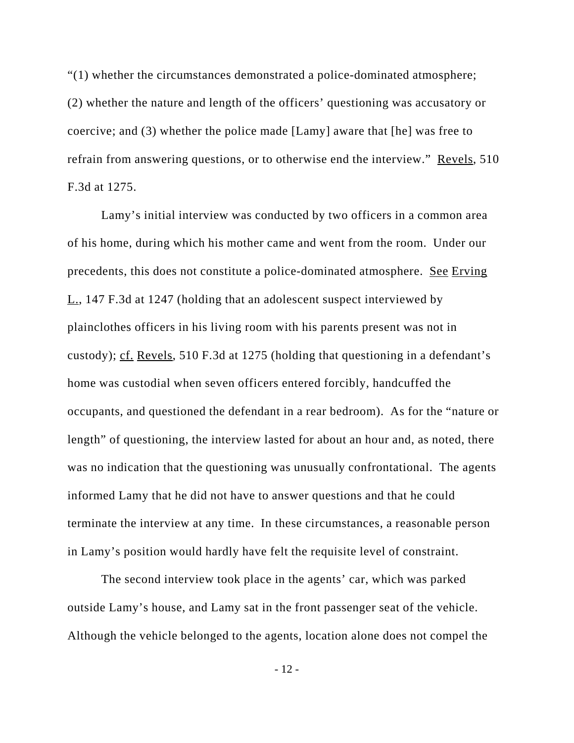"(1) whether the circumstances demonstrated a police-dominated atmosphere; (2) whether the nature and length of the officers' questioning was accusatory or coercive; and (3) whether the police made [Lamy] aware that [he] was free to refrain from answering questions, or to otherwise end the interview." Revels, 510 F.3d at 1275.

Lamy's initial interview was conducted by two officers in a common area of his home, during which his mother came and went from the room. Under our precedents, this does not constitute a police-dominated atmosphere. See Erving L., 147 F.3d at 1247 (holding that an adolescent suspect interviewed by plainclothes officers in his living room with his parents present was not in custody); cf. Revels, 510 F.3d at 1275 (holding that questioning in a defendant's home was custodial when seven officers entered forcibly, handcuffed the occupants, and questioned the defendant in a rear bedroom). As for the "nature or length" of questioning, the interview lasted for about an hour and, as noted, there was no indication that the questioning was unusually confrontational. The agents informed Lamy that he did not have to answer questions and that he could terminate the interview at any time. In these circumstances, a reasonable person in Lamy's position would hardly have felt the requisite level of constraint.

The second interview took place in the agents' car, which was parked outside Lamy's house, and Lamy sat in the front passenger seat of the vehicle. Although the vehicle belonged to the agents, location alone does not compel the

- 12 -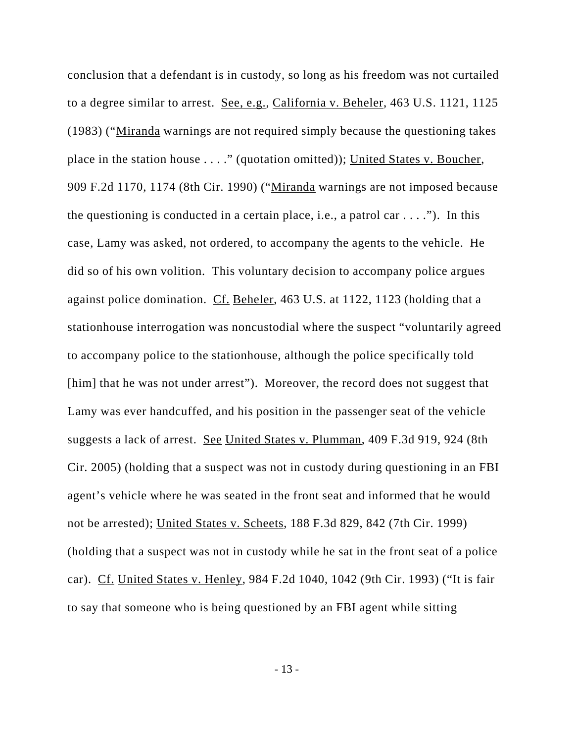conclusion that a defendant is in custody, so long as his freedom was not curtailed to a degree similar to arrest. See, e.g., California v. Beheler, 463 U.S. 1121, 1125 (1983) ("Miranda warnings are not required simply because the questioning takes place in the station house . . . ." (quotation omitted)); United States v. Boucher, 909 F.2d 1170, 1174 (8th Cir. 1990) ("Miranda warnings are not imposed because the questioning is conducted in a certain place, i.e., a patrol car  $\dots$ ."). In this case, Lamy was asked, not ordered, to accompany the agents to the vehicle. He did so of his own volition. This voluntary decision to accompany police argues against police domination. Cf. Beheler, 463 U.S. at 1122, 1123 (holding that a stationhouse interrogation was noncustodial where the suspect "voluntarily agreed to accompany police to the stationhouse, although the police specifically told [him] that he was not under arrest"). Moreover, the record does not suggest that Lamy was ever handcuffed, and his position in the passenger seat of the vehicle suggests a lack of arrest. See United States v. Plumman, 409 F.3d 919, 924 (8th Cir. 2005) (holding that a suspect was not in custody during questioning in an FBI agent's vehicle where he was seated in the front seat and informed that he would not be arrested); United States v. Scheets, 188 F.3d 829, 842 (7th Cir. 1999) (holding that a suspect was not in custody while he sat in the front seat of a police car). Cf. United States v. Henley, 984 F.2d 1040, 1042 (9th Cir. 1993) ("It is fair to say that someone who is being questioned by an FBI agent while sitting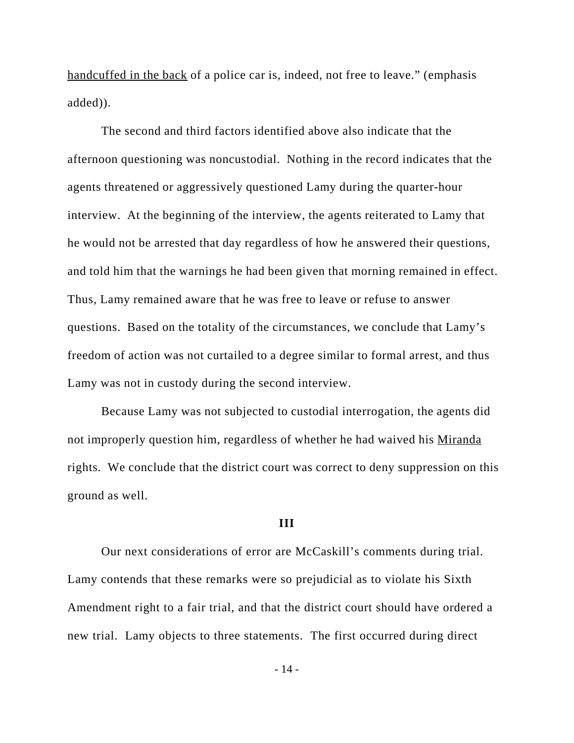handcuffed in the back of a police car is, indeed, not free to leave." (emphasis added)).

The second and third factors identified above also indicate that the afternoon questioning was noncustodial. Nothing in the record indicates that the agents threatened or aggressively questioned Lamy during the quarter-hour interview. At the beginning of the interview, the agents reiterated to Lamy that he would not be arrested that day regardless of how he answered their questions, and told him that the warnings he had been given that morning remained in effect. Thus, Lamy remained aware that he was free to leave or refuse to answer questions. Based on the totality of the circumstances, we conclude that Lamy's freedom of action was not curtailed to a degree similar to formal arrest, and thus Lamy was not in custody during the second interview.

Because Lamy was not subjected to custodial interrogation, the agents did not improperly question him, regardless of whether he had waived his Miranda rights. We conclude that the district court was correct to deny suppression on this ground as well.

#### **III**

Our next considerations of error are McCaskill's comments during trial. Lamy contends that these remarks were so prejudicial as to violate his Sixth Amendment right to a fair trial, and that the district court should have ordered a new trial. Lamy objects to three statements. The first occurred during direct

- 14 -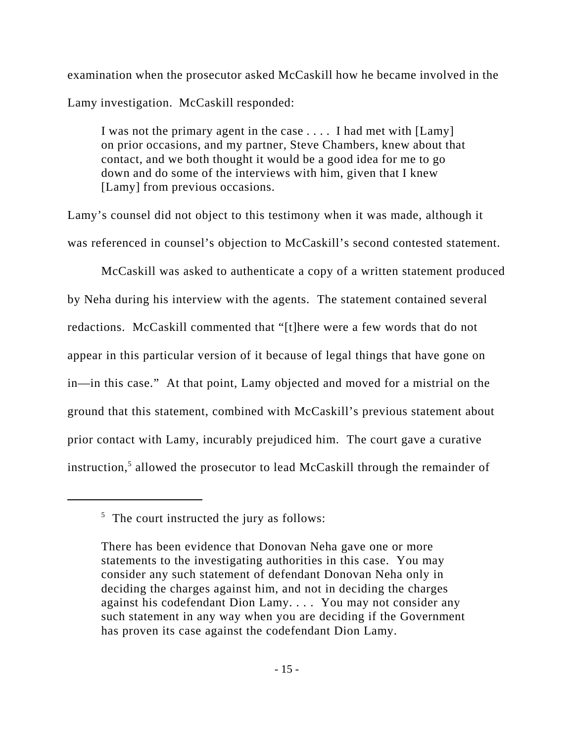examination when the prosecutor asked McCaskill how he became involved in the Lamy investigation. McCaskill responded:

I was not the primary agent in the case . . . . I had met with [Lamy] on prior occasions, and my partner, Steve Chambers, knew about that contact, and we both thought it would be a good idea for me to go down and do some of the interviews with him, given that I knew [Lamy] from previous occasions.

Lamy's counsel did not object to this testimony when it was made, although it was referenced in counsel's objection to McCaskill's second contested statement.

McCaskill was asked to authenticate a copy of a written statement produced by Neha during his interview with the agents. The statement contained several redactions. McCaskill commented that "[t]here were a few words that do not appear in this particular version of it because of legal things that have gone on in—in this case." At that point, Lamy objected and moved for a mistrial on the ground that this statement, combined with McCaskill's previous statement about prior contact with Lamy, incurably prejudiced him. The court gave a curative instruction,<sup>5</sup> allowed the prosecutor to lead McCaskill through the remainder of

 $5$  The court instructed the jury as follows:

There has been evidence that Donovan Neha gave one or more statements to the investigating authorities in this case. You may consider any such statement of defendant Donovan Neha only in deciding the charges against him, and not in deciding the charges against his codefendant Dion Lamy. . . . You may not consider any such statement in any way when you are deciding if the Government has proven its case against the codefendant Dion Lamy.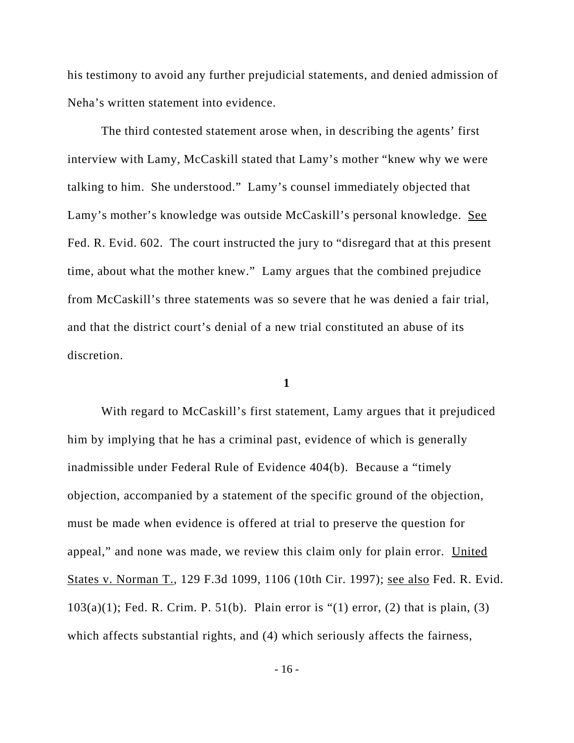his testimony to avoid any further prejudicial statements, and denied admission of Neha's written statement into evidence.

The third contested statement arose when, in describing the agents' first interview with Lamy, McCaskill stated that Lamy's mother "knew why we were talking to him. She understood." Lamy's counsel immediately objected that Lamy's mother's knowledge was outside McCaskill's personal knowledge. See Fed. R. Evid. 602. The court instructed the jury to "disregard that at this present time, about what the mother knew." Lamy argues that the combined prejudice from McCaskill's three statements was so severe that he was denied a fair trial, and that the district court's denial of a new trial constituted an abuse of its discretion.

#### **1**

With regard to McCaskill's first statement, Lamy argues that it prejudiced him by implying that he has a criminal past, evidence of which is generally inadmissible under Federal Rule of Evidence 404(b). Because a "timely objection, accompanied by a statement of the specific ground of the objection, must be made when evidence is offered at trial to preserve the question for appeal," and none was made, we review this claim only for plain error. United States v. Norman T., 129 F.3d 1099, 1106 (10th Cir. 1997); see also Fed. R. Evid.  $103(a)(1)$ ; Fed. R. Crim. P. 51(b). Plain error is "(1) error, (2) that is plain, (3) which affects substantial rights, and (4) which seriously affects the fairness,

- 16 -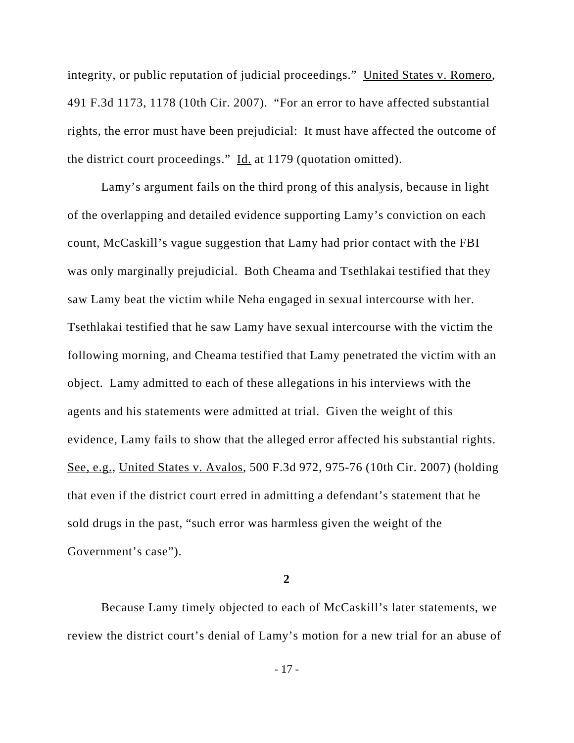integrity, or public reputation of judicial proceedings." United States v. Romero, 491 F.3d 1173, 1178 (10th Cir. 2007). "For an error to have affected substantial rights, the error must have been prejudicial: It must have affected the outcome of the district court proceedings."  $\underline{Id}$  at 1179 (quotation omitted).

Lamy's argument fails on the third prong of this analysis, because in light of the overlapping and detailed evidence supporting Lamy's conviction on each count, McCaskill's vague suggestion that Lamy had prior contact with the FBI was only marginally prejudicial. Both Cheama and Tsethlakai testified that they saw Lamy beat the victim while Neha engaged in sexual intercourse with her. Tsethlakai testified that he saw Lamy have sexual intercourse with the victim the following morning, and Cheama testified that Lamy penetrated the victim with an object. Lamy admitted to each of these allegations in his interviews with the agents and his statements were admitted at trial. Given the weight of this evidence, Lamy fails to show that the alleged error affected his substantial rights. See, e.g., United States v. Avalos, 500 F.3d 972, 975-76 (10th Cir. 2007) (holding that even if the district court erred in admitting a defendant's statement that he sold drugs in the past, "such error was harmless given the weight of the Government's case").

**2**

Because Lamy timely objected to each of McCaskill's later statements, we review the district court's denial of Lamy's motion for a new trial for an abuse of

- 17 -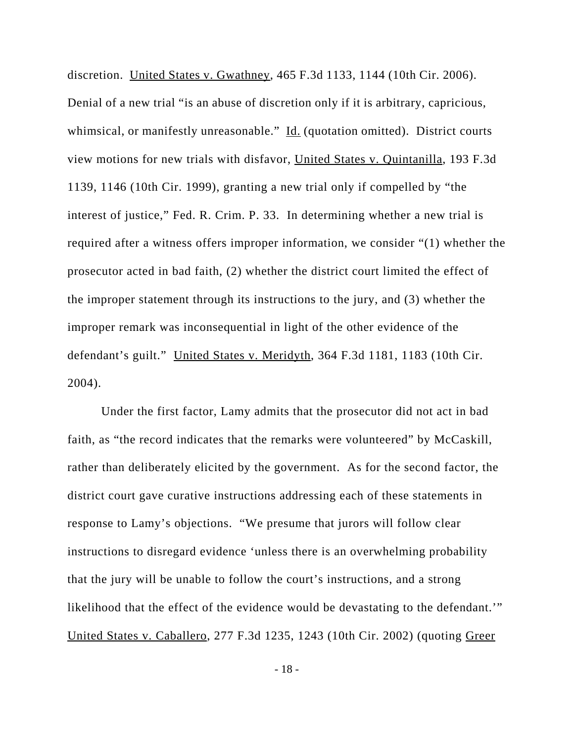discretion. United States v. Gwathney, 465 F.3d 1133, 1144 (10th Cir. 2006). Denial of a new trial "is an abuse of discretion only if it is arbitrary, capricious, whimsical, or manifestly unreasonable." Id. (quotation omitted). District courts view motions for new trials with disfavor, United States v. Quintanilla, 193 F.3d 1139, 1146 (10th Cir. 1999), granting a new trial only if compelled by "the interest of justice," Fed. R. Crim. P. 33. In determining whether a new trial is required after a witness offers improper information, we consider "(1) whether the prosecutor acted in bad faith, (2) whether the district court limited the effect of the improper statement through its instructions to the jury, and (3) whether the improper remark was inconsequential in light of the other evidence of the defendant's guilt." United States v. Meridyth, 364 F.3d 1181, 1183 (10th Cir. 2004).

Under the first factor, Lamy admits that the prosecutor did not act in bad faith, as "the record indicates that the remarks were volunteered" by McCaskill, rather than deliberately elicited by the government. As for the second factor, the district court gave curative instructions addressing each of these statements in response to Lamy's objections. "We presume that jurors will follow clear instructions to disregard evidence 'unless there is an overwhelming probability that the jury will be unable to follow the court's instructions, and a strong likelihood that the effect of the evidence would be devastating to the defendant.'" United States v. Caballero, 277 F.3d 1235, 1243 (10th Cir. 2002) (quoting Greer

- 18 -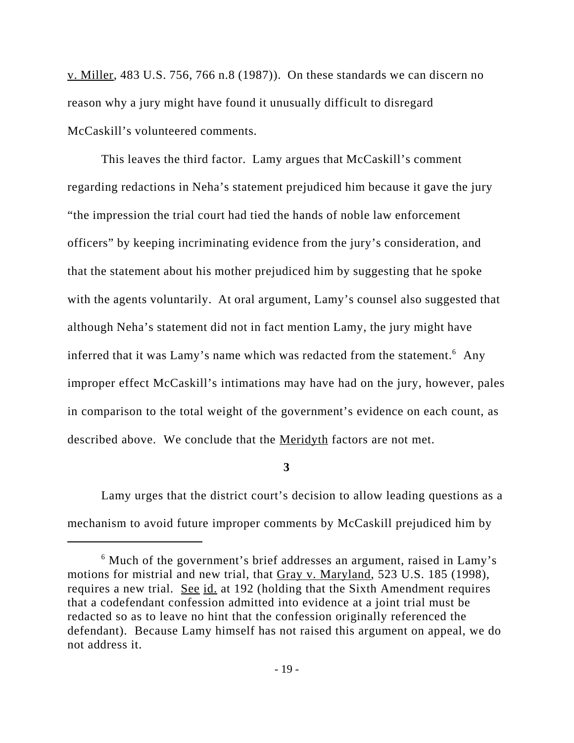v. Miller, 483 U.S. 756, 766 n.8 (1987)). On these standards we can discern no reason why a jury might have found it unusually difficult to disregard McCaskill's volunteered comments.

This leaves the third factor. Lamy argues that McCaskill's comment regarding redactions in Neha's statement prejudiced him because it gave the jury "the impression the trial court had tied the hands of noble law enforcement officers" by keeping incriminating evidence from the jury's consideration, and that the statement about his mother prejudiced him by suggesting that he spoke with the agents voluntarily. At oral argument, Lamy's counsel also suggested that although Neha's statement did not in fact mention Lamy, the jury might have inferred that it was Lamy's name which was redacted from the statement.<sup>6</sup> Any improper effect McCaskill's intimations may have had on the jury, however, pales in comparison to the total weight of the government's evidence on each count, as described above. We conclude that the Meridyth factors are not met.

**3**

Lamy urges that the district court's decision to allow leading questions as a mechanism to avoid future improper comments by McCaskill prejudiced him by

<sup>&</sup>lt;sup>6</sup> Much of the government's brief addresses an argument, raised in Lamy's motions for mistrial and new trial, that Gray v. Maryland, 523 U.S. 185 (1998), requires a new trial. See id. at 192 (holding that the Sixth Amendment requires that a codefendant confession admitted into evidence at a joint trial must be redacted so as to leave no hint that the confession originally referenced the defendant). Because Lamy himself has not raised this argument on appeal, we do not address it.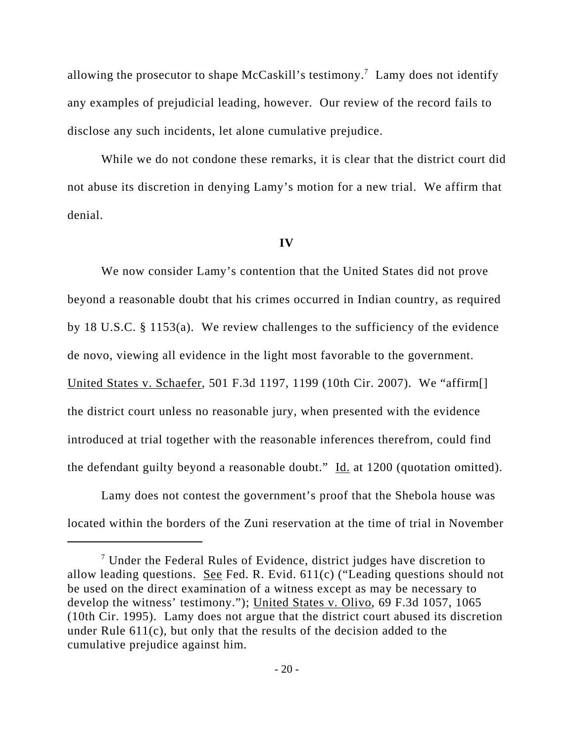allowing the prosecutor to shape McCaskill's testimony.<sup>7</sup> Lamy does not identify any examples of prejudicial leading, however. Our review of the record fails to disclose any such incidents, let alone cumulative prejudice.

While we do not condone these remarks, it is clear that the district court did not abuse its discretion in denying Lamy's motion for a new trial. We affirm that denial.

#### **IV**

We now consider Lamy's contention that the United States did not prove beyond a reasonable doubt that his crimes occurred in Indian country, as required by 18 U.S.C. § 1153(a). We review challenges to the sufficiency of the evidence de novo, viewing all evidence in the light most favorable to the government. United States v. Schaefer, 501 F.3d 1197, 1199 (10th Cir. 2007). We "affirm[] the district court unless no reasonable jury, when presented with the evidence introduced at trial together with the reasonable inferences therefrom, could find the defendant guilty beyond a reasonable doubt."  $\underline{Id}$  at 1200 (quotation omitted).

Lamy does not contest the government's proof that the Shebola house was located within the borders of the Zuni reservation at the time of trial in November

 $7$  Under the Federal Rules of Evidence, district judges have discretion to allow leading questions. See Fed. R. Evid.  $611(c)$  ("Leading questions should not be used on the direct examination of a witness except as may be necessary to develop the witness' testimony."); United States v. Olivo, 69 F.3d 1057, 1065 (10th Cir. 1995). Lamy does not argue that the district court abused its discretion under Rule 611(c), but only that the results of the decision added to the cumulative prejudice against him.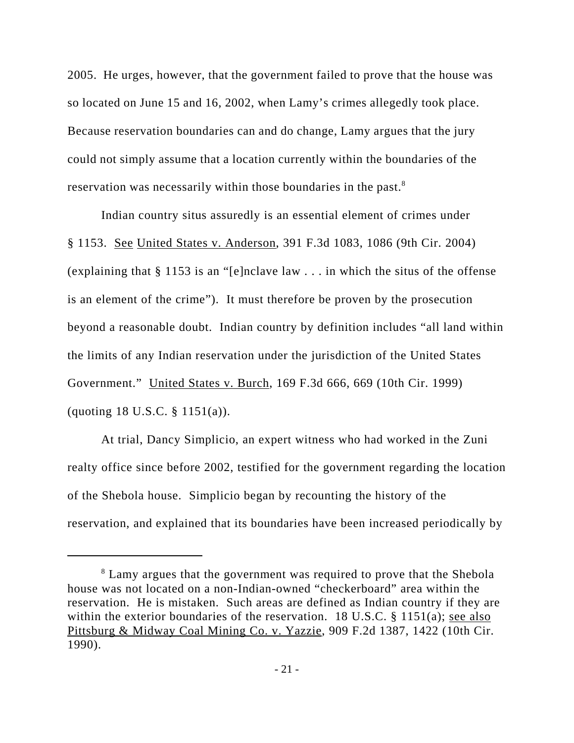2005. He urges, however, that the government failed to prove that the house was so located on June 15 and 16, 2002, when Lamy's crimes allegedly took place. Because reservation boundaries can and do change, Lamy argues that the jury could not simply assume that a location currently within the boundaries of the reservation was necessarily within those boundaries in the past.<sup>8</sup>

Indian country situs assuredly is an essential element of crimes under § 1153. See United States v. Anderson, 391 F.3d 1083, 1086 (9th Cir. 2004) (explaining that § 1153 is an "[e]nclave law . . . in which the situs of the offense is an element of the crime"). It must therefore be proven by the prosecution beyond a reasonable doubt. Indian country by definition includes "all land within the limits of any Indian reservation under the jurisdiction of the United States Government." United States v. Burch, 169 F.3d 666, 669 (10th Cir. 1999) (quoting 18 U.S.C. § 1151(a)).

At trial, Dancy Simplicio, an expert witness who had worked in the Zuni realty office since before 2002, testified for the government regarding the location of the Shebola house. Simplicio began by recounting the history of the reservation, and explained that its boundaries have been increased periodically by

<sup>&</sup>lt;sup>8</sup> Lamy argues that the government was required to prove that the Shebola house was not located on a non-Indian-owned "checkerboard" area within the reservation. He is mistaken. Such areas are defined as Indian country if they are within the exterior boundaries of the reservation. 18 U.S.C. § 1151(a); see also Pittsburg & Midway Coal Mining Co. v. Yazzie, 909 F.2d 1387, 1422 (10th Cir. 1990).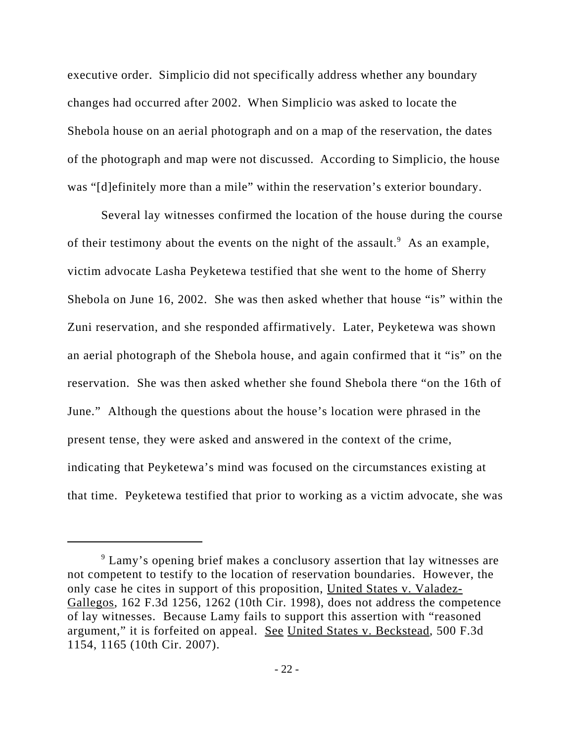executive order. Simplicio did not specifically address whether any boundary changes had occurred after 2002. When Simplicio was asked to locate the Shebola house on an aerial photograph and on a map of the reservation, the dates of the photograph and map were not discussed. According to Simplicio, the house was "[d]efinitely more than a mile" within the reservation's exterior boundary.

Several lay witnesses confirmed the location of the house during the course of their testimony about the events on the night of the assault.  $\delta$  As an example, victim advocate Lasha Peyketewa testified that she went to the home of Sherry Shebola on June 16, 2002. She was then asked whether that house "is" within the Zuni reservation, and she responded affirmatively. Later, Peyketewa was shown an aerial photograph of the Shebola house, and again confirmed that it "is" on the reservation. She was then asked whether she found Shebola there "on the 16th of June." Although the questions about the house's location were phrased in the present tense, they were asked and answered in the context of the crime, indicating that Peyketewa's mind was focused on the circumstances existing at that time. Peyketewa testified that prior to working as a victim advocate, she was

<sup>&</sup>lt;sup>9</sup> Lamy's opening brief makes a conclusory assertion that lay witnesses are not competent to testify to the location of reservation boundaries. However, the only case he cites in support of this proposition, United States v. Valadez-Gallegos, 162 F.3d 1256, 1262 (10th Cir. 1998), does not address the competence of lay witnesses. Because Lamy fails to support this assertion with "reasoned argument," it is forfeited on appeal. See United States v. Beckstead, 500 F.3d 1154, 1165 (10th Cir. 2007).